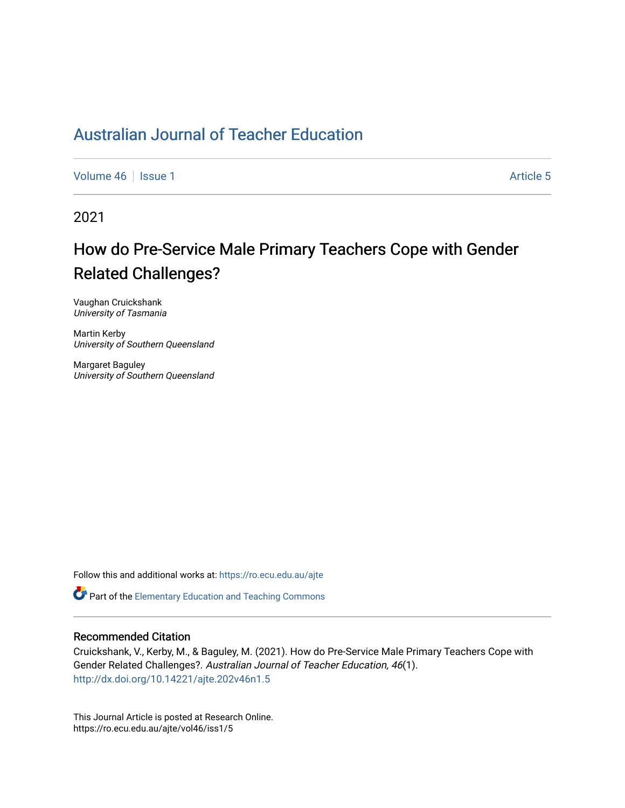# [Australian Journal of Teacher Education](https://ro.ecu.edu.au/ajte)

[Volume 46](https://ro.ecu.edu.au/ajte/vol46) | [Issue 1](https://ro.ecu.edu.au/ajte/vol46/iss1) Article 5

2021

# How do Pre-Service Male Primary Teachers Cope with Gender Related Challenges?

Vaughan Cruickshank University of Tasmania

Martin Kerby University of Southern Queensland

Margaret Baguley University of Southern Queensland

Follow this and additional works at: [https://ro.ecu.edu.au/ajte](https://ro.ecu.edu.au/ajte?utm_source=ro.ecu.edu.au%2Fajte%2Fvol46%2Fiss1%2F5&utm_medium=PDF&utm_campaign=PDFCoverPages) 

Part of the [Elementary Education and Teaching Commons](http://network.bepress.com/hgg/discipline/805?utm_source=ro.ecu.edu.au%2Fajte%2Fvol46%2Fiss1%2F5&utm_medium=PDF&utm_campaign=PDFCoverPages) 

#### Recommended Citation

Cruickshank, V., Kerby, M., & Baguley, M. (2021). How do Pre-Service Male Primary Teachers Cope with Gender Related Challenges?. Australian Journal of Teacher Education, 46(1). <http://dx.doi.org/10.14221/ajte.202v46n1.5>

This Journal Article is posted at Research Online. https://ro.ecu.edu.au/ajte/vol46/iss1/5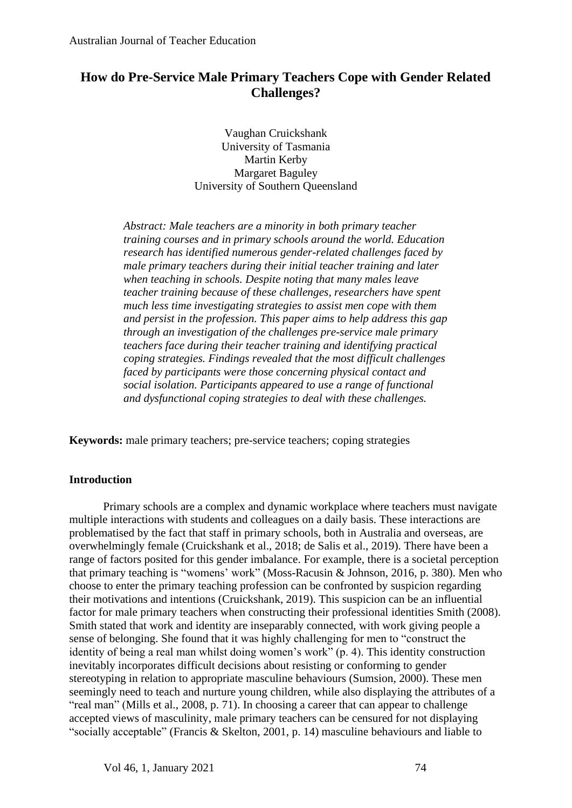## **How do Pre-Service Male Primary Teachers Cope with Gender Related Challenges?**

Vaughan Cruickshank University of Tasmania Martin Kerby Margaret Baguley University of Southern Queensland

*Abstract: Male teachers are a minority in both primary teacher training courses and in primary schools around the world. Education research has identified numerous gender-related challenges faced by male primary teachers during their initial teacher training and later when teaching in schools. Despite noting that many males leave teacher training because of these challenges, researchers have spent much less time investigating strategies to assist men cope with them and persist in the profession. This paper aims to help address this gap through an investigation of the challenges pre-service male primary teachers face during their teacher training and identifying practical coping strategies. Findings revealed that the most difficult challenges faced by participants were those concerning physical contact and social isolation. Participants appeared to use a range of functional and dysfunctional coping strategies to deal with these challenges.*

**Keywords:** male primary teachers; pre-service teachers; coping strategies

#### **Introduction**

Primary schools are a complex and dynamic workplace where teachers must navigate multiple interactions with students and colleagues on a daily basis. These interactions are problematised by the fact that staff in primary schools, both in Australia and overseas, are overwhelmingly female (Cruickshank et al., 2018; de Salis et al., 2019). There have been a range of factors posited for this gender imbalance. For example, there is a societal perception that primary teaching is "womens' work" (Moss-Racusin & Johnson, 2016, p. 380). Men who choose to enter the primary teaching profession can be confronted by suspicion regarding their motivations and intentions (Cruickshank, 2019). This suspicion can be an influential factor for male primary teachers when constructing their professional identities Smith (2008). Smith stated that work and identity are inseparably connected, with work giving people a sense of belonging. She found that it was highly challenging for men to "construct the identity of being a real man whilst doing women's work" (p. 4). This identity construction inevitably incorporates difficult decisions about resisting or conforming to gender stereotyping in relation to appropriate masculine behaviours (Sumsion, 2000). These men seemingly need to teach and nurture young children, while also displaying the attributes of a "real man" (Mills et al., 2008, p. 71). In choosing a career that can appear to challenge accepted views of masculinity, male primary teachers can be censured for not displaying "socially acceptable" (Francis & Skelton, 2001, p. 14) masculine behaviours and liable to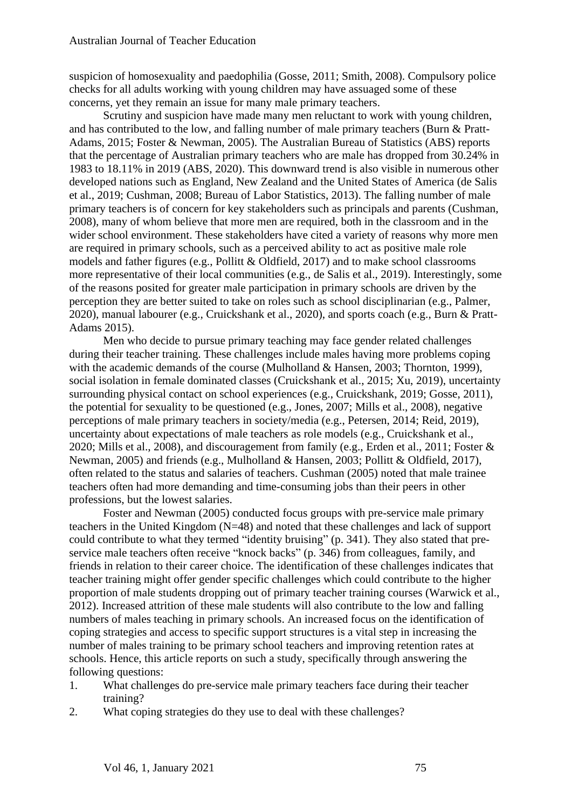suspicion of homosexuality and paedophilia (Gosse, 2011; Smith, 2008). Compulsory police checks for all adults working with young children may have assuaged some of these concerns, yet they remain an issue for many male primary teachers.

Scrutiny and suspicion have made many men reluctant to work with young children, and has contributed to the low, and falling number of male primary teachers (Burn & Pratt-Adams, 2015; Foster & Newman, 2005). The Australian Bureau of Statistics (ABS) reports that the percentage of Australian primary teachers who are male has dropped from 30.24% in 1983 to 18.11% in 2019 (ABS, 2020). This downward trend is also visible in numerous other developed nations such as England, New Zealand and the United States of America (de Salis et al., 2019; Cushman, 2008; Bureau of Labor Statistics, 2013). The falling number of male primary teachers is of concern for key stakeholders such as principals and parents (Cushman, 2008), many of whom believe that more men are required, both in the classroom and in the wider school environment. These stakeholders have cited a variety of reasons why more men are required in primary schools, such as a perceived ability to act as positive male role models and father figures (e.g., Pollitt & Oldfield, 2017) and to make school classrooms more representative of their local communities (e.g., de Salis et al., 2019). Interestingly, some of the reasons posited for greater male participation in primary schools are driven by the perception they are better suited to take on roles such as school disciplinarian (e.g., Palmer, 2020), manual labourer (e.g., Cruickshank et al., 2020), and sports coach (e.g., Burn & Pratt-Adams 2015).

Men who decide to pursue primary teaching may face gender related challenges during their teacher training. These challenges include males having more problems coping with the academic demands of the course (Mulholland & Hansen, 2003; Thornton, 1999), social isolation in female dominated classes (Cruickshank et al., 2015; Xu, 2019), uncertainty surrounding physical contact on school experiences (e.g., Cruickshank, 2019; Gosse, 2011), the potential for sexuality to be questioned (e.g., Jones, 2007; Mills et al., 2008), negative perceptions of male primary teachers in society/media (e.g., Petersen, 2014; Reid, 2019), uncertainty about expectations of male teachers as role models (e.g., Cruickshank et al., 2020; Mills et al., 2008), and discouragement from family (e.g., Erden et al., 2011; Foster & Newman, 2005) and friends (e.g., Mulholland & Hansen, 2003; Pollitt & Oldfield, 2017), often related to the status and salaries of teachers. Cushman (2005) noted that male trainee teachers often had more demanding and time-consuming jobs than their peers in other professions, but the lowest salaries.

Foster and Newman (2005) conducted focus groups with pre-service male primary teachers in the United Kingdom (N=48) and noted that these challenges and lack of support could contribute to what they termed "identity bruising" (p. 341). They also stated that preservice male teachers often receive "knock backs" (p. 346) from colleagues, family, and friends in relation to their career choice. The identification of these challenges indicates that teacher training might offer gender specific challenges which could contribute to the higher proportion of male students dropping out of primary teacher training courses (Warwick et al., 2012). Increased attrition of these male students will also contribute to the low and falling numbers of males teaching in primary schools. An increased focus on the identification of coping strategies and access to specific support structures is a vital step in increasing the number of males training to be primary school teachers and improving retention rates at schools. Hence, this article reports on such a study, specifically through answering the following questions:

- 1. What challenges do pre-service male primary teachers face during their teacher training?
- 2. What coping strategies do they use to deal with these challenges?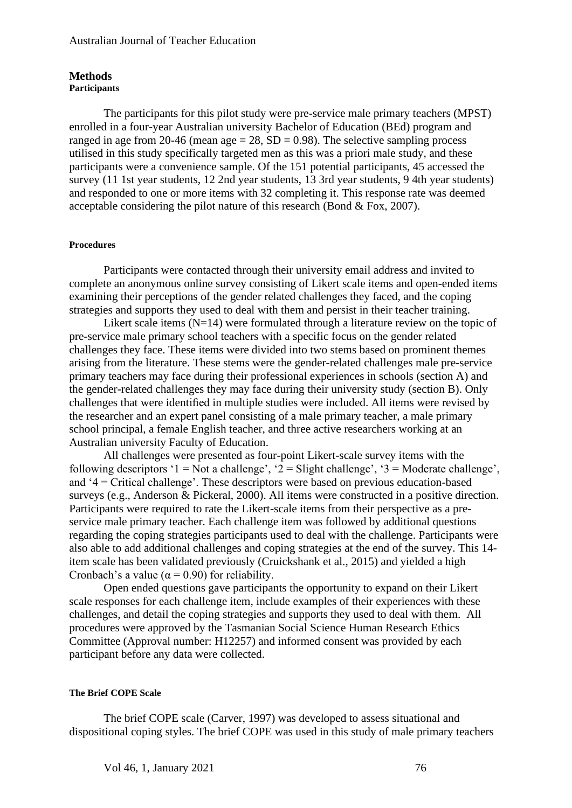#### **Methods Participants**

The participants for this pilot study were pre-service male primary teachers (MPST) enrolled in a four-year Australian university Bachelor of Education (BEd) program and ranged in age from 20-46 (mean age  $= 28$ , SD  $= 0.98$ ). The selective sampling process utilised in this study specifically targeted men as this was a priori male study, and these participants were a convenience sample. Of the 151 potential participants, 45 accessed the survey (11 1st year students, 12 2nd year students, 13 3rd year students, 9 4th year students) and responded to one or more items with 32 completing it. This response rate was deemed acceptable considering the pilot nature of this research (Bond & Fox, 2007).

#### **Procedures**

Participants were contacted through their university email address and invited to complete an anonymous online survey consisting of Likert scale items and open-ended items examining their perceptions of the gender related challenges they faced, and the coping strategies and supports they used to deal with them and persist in their teacher training.

Likert scale items  $(N=14)$  were formulated through a literature review on the topic of pre-service male primary school teachers with a specific focus on the gender related challenges they face. These items were divided into two stems based on prominent themes arising from the literature. These stems were the gender-related challenges male pre-service primary teachers may face during their professional experiences in schools (section A) and the gender-related challenges they may face during their university study (section B). Only challenges that were identified in multiple studies were included. All items were revised by the researcher and an expert panel consisting of a male primary teacher, a male primary school principal, a female English teacher, and three active researchers working at an Australian university Faculty of Education.

All challenges were presented as four-point Likert-scale survey items with the following descriptors '1 = Not a challenge', '2 = Slight challenge', '3 = Moderate challenge', and '4 = Critical challenge'. These descriptors were based on previous education-based surveys (e.g., Anderson & Pickeral, 2000). All items were constructed in a positive direction. Participants were required to rate the Likert-scale items from their perspective as a preservice male primary teacher. Each challenge item was followed by additional questions regarding the coping strategies participants used to deal with the challenge. Participants were also able to add additional challenges and coping strategies at the end of the survey. This 14 item scale has been validated previously (Cruickshank et al., 2015) and yielded a high Cronbach's a value ( $\alpha$  = 0.90) for reliability.

Open ended questions gave participants the opportunity to expand on their Likert scale responses for each challenge item, include examples of their experiences with these challenges, and detail the coping strategies and supports they used to deal with them. All procedures were approved by the Tasmanian Social Science Human Research Ethics Committee (Approval number: H12257) and informed consent was provided by each participant before any data were collected.

#### **The Brief COPE Scale**

The brief COPE scale (Carver, 1997) was developed to assess situational and dispositional coping styles. The brief COPE was used in this study of male primary teachers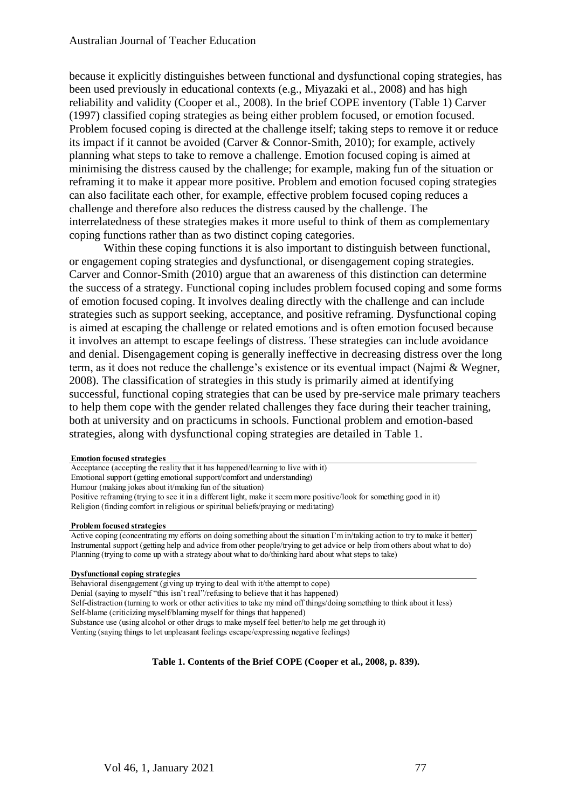because it explicitly distinguishes between functional and dysfunctional coping strategies, has been used previously in educational contexts (e.g., Miyazaki et al., 2008) and has high reliability and validity (Cooper et al., 2008). In the brief COPE inventory (Table 1) Carver (1997) classified coping strategies as being either problem focused, or emotion focused. Problem focused coping is directed at the challenge itself; taking steps to remove it or reduce its impact if it cannot be avoided (Carver & Connor-Smith, 2010); for example, actively planning what steps to take to remove a challenge. Emotion focused coping is aimed at minimising the distress caused by the challenge; for example, making fun of the situation or reframing it to make it appear more positive. Problem and emotion focused coping strategies can also facilitate each other, for example, effective problem focused coping reduces a challenge and therefore also reduces the distress caused by the challenge. The interrelatedness of these strategies makes it more useful to think of them as complementary coping functions rather than as two distinct coping categories.

Within these coping functions it is also important to distinguish between functional, or engagement coping strategies and dysfunctional, or disengagement coping strategies. Carver and Connor-Smith (2010) argue that an awareness of this distinction can determine the success of a strategy. Functional coping includes problem focused coping and some forms of emotion focused coping. It involves dealing directly with the challenge and can include strategies such as support seeking, acceptance, and positive reframing. Dysfunctional coping is aimed at escaping the challenge or related emotions and is often emotion focused because it involves an attempt to escape feelings of distress. These strategies can include avoidance and denial. Disengagement coping is generally ineffective in decreasing distress over the long term, as it does not reduce the challenge's existence or its eventual impact (Najmi & Wegner, 2008). The classification of strategies in this study is primarily aimed at identifying successful, functional coping strategies that can be used by pre-service male primary teachers to help them cope with the gender related challenges they face during their teacher training, both at university and on practicums in schools. Functional problem and emotion-based strategies, along with dysfunctional coping strategies are detailed in Table 1.

#### **Emotion focused strategies**

Acceptance (accepting the reality that it has happened/learning to live with it) Emotional support (getting emotional support/comfort and understanding) Humour (making jokes about it/making fun of the situation) Positive reframing (trying to see it in a different light, make it seem more positive/look for something good in it) Religion (finding comfort in religious or spiritual beliefs/praying or meditating)

#### **Problem focused strategies**

Active coping (concentrating my efforts on doing something about the situation I'm in/taking action to try to make it better) Instrumental support (getting help and advice from other people/trying to get advice or help from others about what to do) Planning (trying to come up with a strategy about what to do/thinking hard about what steps to take)

**Dysfunctional coping strategies**

Behavioral disengagement (giving up trying to deal with it/the attempt to cope)

Denial (saying to myself "this isn't real"/refusing to believe that it has happened)

Self-distraction (turning to work or other activities to take my mind off things/doing something to think about it less) Self-blame (criticizing myself/blaming myself for things that happened)

Substance use (using alcohol or other drugs to make myself feel better/to help me get through it)

Venting (saying things to let unpleasant feelings escape/expressing negative feelings)

**Table 1. Contents of the Brief COPE (Cooper et al., 2008, p. 839).**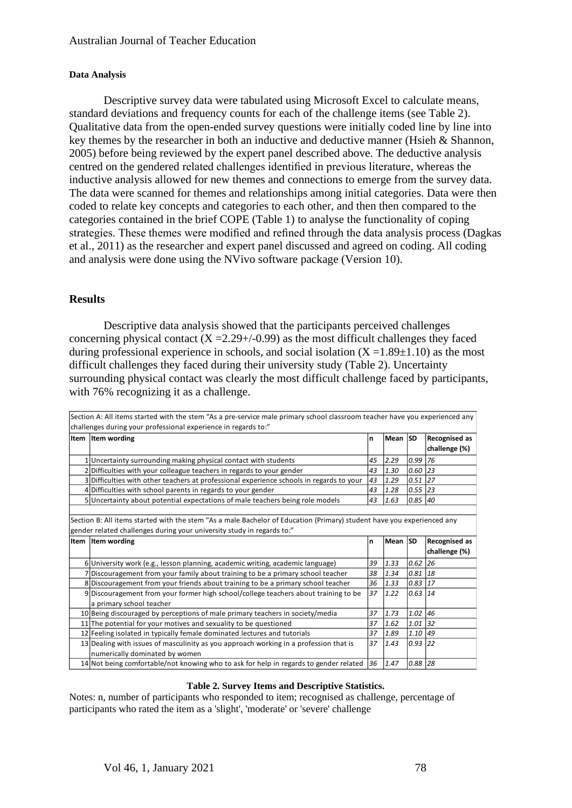#### **Data Analysis**

Descriptive survey data were tabulated using Microsoft Excel to calculate means, standard deviations and frequency counts for each of the challenge items (see Table 2). Qualitative data from the open-ended survey questions were initially coded line by line into key themes by the researcher in both an inductive and deductive manner (Hsieh & Shannon, 2005) before being reviewed by the expert panel described above. The deductive analysis centred on the gendered related challenges identified in previous literature, whereas the inductive analysis allowed for new themes and connections to emerge from the survey data. The data were scanned for themes and relationships among initial categories. Data were then coded to relate key concepts and categories to each other, and then then compared to the categories contained in the brief COPE (Table 1) to analyse the functionality of coping strategies. These themes were modified and refined through the data analysis process (Dagkas et al., 2011) as the researcher and expert panel discussed and agreed on coding. All coding and analysis were done using the NVivo software package (Version 10).

### **Results**

Descriptive data analysis showed that the participants perceived challenges concerning physical contact  $(X = 2.29 + (-0.99)$  as the most difficult challenges they faced during professional experience in schools, and social isolation  $(X = 1.89 \pm 1.10)$  as the most difficult challenges they faced during their university study (Table 2). Uncertainty surrounding physical contact was clearly the most difficult challenge faced by participants, with 76% recognizing it as a challenge.

| Section A: All items started with the stem "As a pre-service male primary school classroom teacher have you experienced any |    |      |                                      |                    |
|-----------------------------------------------------------------------------------------------------------------------------|----|------|--------------------------------------|--------------------|
| challenges during your professional experience in regards to:"                                                              |    |      |                                      |                    |
| Item Item wording                                                                                                           | n  |      |                                      | Recognised as      |
|                                                                                                                             |    |      |                                      | challenge (%)      |
| 1 Uncertainty surrounding making physical contact with students                                                             | 45 | 2.29 | 0.99                                 | 76                 |
| 2 Difficulties with your colleague teachers in regards to your gender                                                       | 43 | 1.30 | 0.60                                 | 23                 |
| 3 Difficulties with other teachers at professional experience schools in regards to your                                    | 43 | 1.29 | $0.51$ 27                            |                    |
| 4 Difficulties with school parents in regards to your gender                                                                | 43 |      | $0.55$ 23                            |                    |
| 5 Uncertainty about potential expectations of male teachers being role models                                               | 43 | 1.63 | 0.85                                 | 40                 |
|                                                                                                                             |    |      |                                      |                    |
| Section B: All items started with the stem "As a male Bachelor of Education (Primary) student have you experienced any      |    |      |                                      |                    |
| gender related challenges during your university study in regards to:"                                                      |    |      |                                      |                    |
| Item   Item wording                                                                                                         | n  |      |                                      | Recognised as      |
|                                                                                                                             |    |      |                                      | challenge (%)      |
| 6 University work (e.g., lesson planning, academic writing, academic language)                                              | 39 | 1.33 | 0.62                                 | 26                 |
| 7 Discouragement from your family about training to be a primary school teacher                                             | 38 | 1.34 | 0.81                                 | 18                 |
| 8 Discouragement from your friends about training to be a primary school teacher                                            | 36 | 1.33 | 0.83                                 | 17                 |
| 9 Discouragement from your former high school/college teachers about training to be                                         | 37 |      | $0.63$ 14                            |                    |
| a primary school teacher                                                                                                    |    |      |                                      |                    |
| 10 Being discouraged by perceptions of male primary teachers in society/media                                               | 37 |      | 1.02 46                              |                    |
| 11 The potential for your motives and sexuality to be questioned                                                            | 37 | 1.62 | 1.01 32                              |                    |
| 12 Feeling isolated in typically female dominated lectures and tutorials                                                    | 37 |      | 1.10                                 | 49                 |
| 13 Dealing with issues of masculinity as you approach working in a profession that is                                       | 37 |      | 0.93                                 | 22                 |
| numerically dominated by women                                                                                              |    |      |                                      |                    |
| 14 Not being comfortable/not knowing who to ask for help in regards to gender related                                       | 36 | 1.47 | 0.88                                 | 28                 |
|                                                                                                                             |    |      | 1.28<br>1.22<br>1.73<br>1.89<br>1.43 | Mean SD<br>Mean SD |

Section A: All items started with the stem "As a pre-service male primary school classroom teacher have you experienced any

#### **Table 2. Survey Items and Descriptive Statistics.**

Notes: n, number of participants who responded to item; recognised as challenge, percentage of participants who rated the item as a 'slight', 'moderate' or 'severe' challenge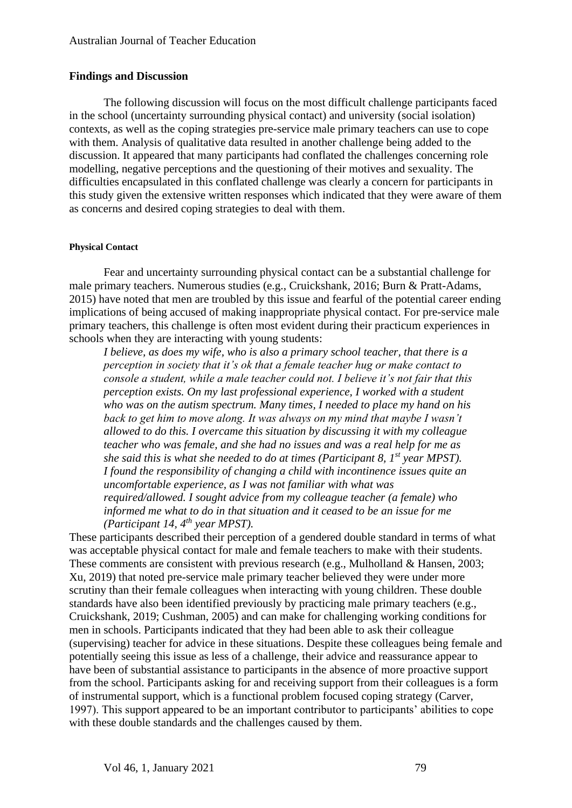#### **Findings and Discussion**

The following discussion will focus on the most difficult challenge participants faced in the school (uncertainty surrounding physical contact) and university (social isolation) contexts, as well as the coping strategies pre-service male primary teachers can use to cope with them. Analysis of qualitative data resulted in another challenge being added to the discussion. It appeared that many participants had conflated the challenges concerning role modelling, negative perceptions and the questioning of their motives and sexuality. The difficulties encapsulated in this conflated challenge was clearly a concern for participants in this study given the extensive written responses which indicated that they were aware of them as concerns and desired coping strategies to deal with them.

#### **Physical Contact**

Fear and uncertainty surrounding physical contact can be a substantial challenge for male primary teachers. Numerous studies (e.g., Cruickshank, 2016; Burn & Pratt-Adams, 2015) have noted that men are troubled by this issue and fearful of the potential career ending implications of being accused of making inappropriate physical contact. For pre-service male primary teachers, this challenge is often most evident during their practicum experiences in schools when they are interacting with young students:

*I believe, as does my wife, who is also a primary school teacher, that there is a perception in society that it's ok that a female teacher hug or make contact to console a student, while a male teacher could not. I believe it's not fair that this perception exists. On my last professional experience, I worked with a student who was on the autism spectrum. Many times, I needed to place my hand on his back to get him to move along. It was always on my mind that maybe I wasn't allowed to do this. I overcame this situation by discussing it with my colleague teacher who was female, and she had no issues and was a real help for me as she said this is what she needed to do at times (Participant 8, 1st year MPST). I found the responsibility of changing a child with incontinence issues quite an uncomfortable experience, as I was not familiar with what was required/allowed. I sought advice from my colleague teacher (a female) who informed me what to do in that situation and it ceased to be an issue for me (Participant 14, 4th year MPST).*

These participants described their perception of a gendered double standard in terms of what was acceptable physical contact for male and female teachers to make with their students. These comments are consistent with previous research (e.g., Mulholland & Hansen, 2003; Xu, 2019) that noted pre-service male primary teacher believed they were under more scrutiny than their female colleagues when interacting with young children. These double standards have also been identified previously by practicing male primary teachers (e.g., Cruickshank, 2019; Cushman, 2005) and can make for challenging working conditions for men in schools. Participants indicated that they had been able to ask their colleague (supervising) teacher for advice in these situations. Despite these colleagues being female and potentially seeing this issue as less of a challenge, their advice and reassurance appear to have been of substantial assistance to participants in the absence of more proactive support from the school. Participants asking for and receiving support from their colleagues is a form of instrumental support, which is a functional problem focused coping strategy (Carver, 1997). This support appeared to be an important contributor to participants' abilities to cope with these double standards and the challenges caused by them.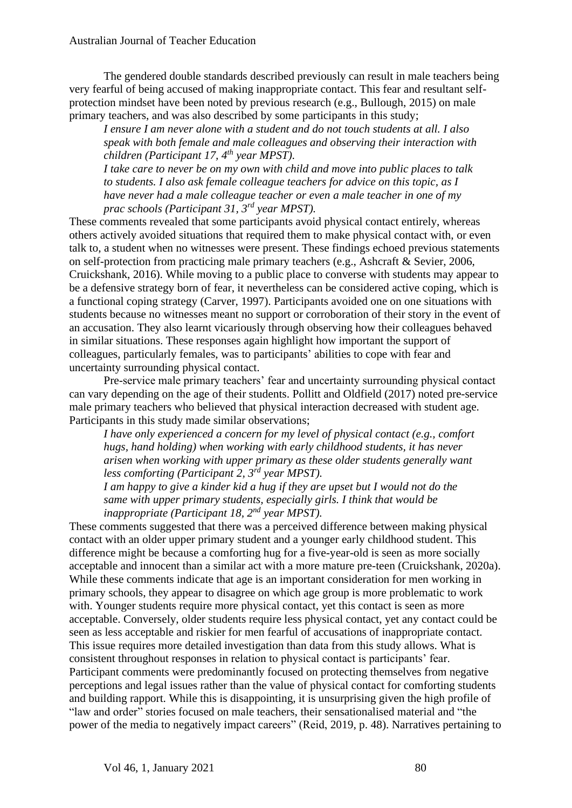The gendered double standards described previously can result in male teachers being very fearful of being accused of making inappropriate contact. This fear and resultant selfprotection mindset have been noted by previous research (e.g., Bullough, 2015) on male primary teachers, and was also described by some participants in this study;

*I ensure I am never alone with a student and do not touch students at all. I also speak with both female and male colleagues and observing their interaction with children (Participant 17, 4th year MPST).*

*I take care to never be on my own with child and move into public places to talk to students. I also ask female colleague teachers for advice on this topic, as I have never had a male colleague teacher or even a male teacher in one of my prac schools (Participant 31, 3rd year MPST).*

These comments revealed that some participants avoid physical contact entirely, whereas others actively avoided situations that required them to make physical contact with, or even talk to, a student when no witnesses were present. These findings echoed previous statements on self-protection from practicing male primary teachers (e.g., Ashcraft & Sevier, 2006, Cruickshank, 2016). While moving to a public place to converse with students may appear to be a defensive strategy born of fear, it nevertheless can be considered active coping, which is a functional coping strategy (Carver, 1997). Participants avoided one on one situations with students because no witnesses meant no support or corroboration of their story in the event of an accusation. They also learnt vicariously through observing how their colleagues behaved in similar situations. These responses again highlight how important the support of colleagues, particularly females, was to participants' abilities to cope with fear and uncertainty surrounding physical contact.

Pre-service male primary teachers' fear and uncertainty surrounding physical contact can vary depending on the age of their students. Pollitt and Oldfield (2017) noted pre-service male primary teachers who believed that physical interaction decreased with student age. Participants in this study made similar observations;

*I have only experienced a concern for my level of physical contact (e.g., comfort hugs, hand holding) when working with early childhood students, it has never arisen when working with upper primary as these older students generally want less comforting (Participant 2, 3rd year MPST).*

*I am happy to give a kinder kid a hug if they are upset but I would not do the same with upper primary students, especially girls. I think that would be inappropriate (Participant 18, 2nd year MPST).*

These comments suggested that there was a perceived difference between making physical contact with an older upper primary student and a younger early childhood student. This difference might be because a comforting hug for a five-year-old is seen as more socially acceptable and innocent than a similar act with a more mature pre-teen (Cruickshank, 2020a). While these comments indicate that age is an important consideration for men working in primary schools, they appear to disagree on which age group is more problematic to work with. Younger students require more physical contact, yet this contact is seen as more acceptable. Conversely, older students require less physical contact, yet any contact could be seen as less acceptable and riskier for men fearful of accusations of inappropriate contact. This issue requires more detailed investigation than data from this study allows. What is consistent throughout responses in relation to physical contact is participants' fear. Participant comments were predominantly focused on protecting themselves from negative perceptions and legal issues rather than the value of physical contact for comforting students and building rapport. While this is disappointing, it is unsurprising given the high profile of "law and order" stories focused on male teachers, their sensationalised material and "the power of the media to negatively impact careers" (Reid, 2019, p. 48). Narratives pertaining to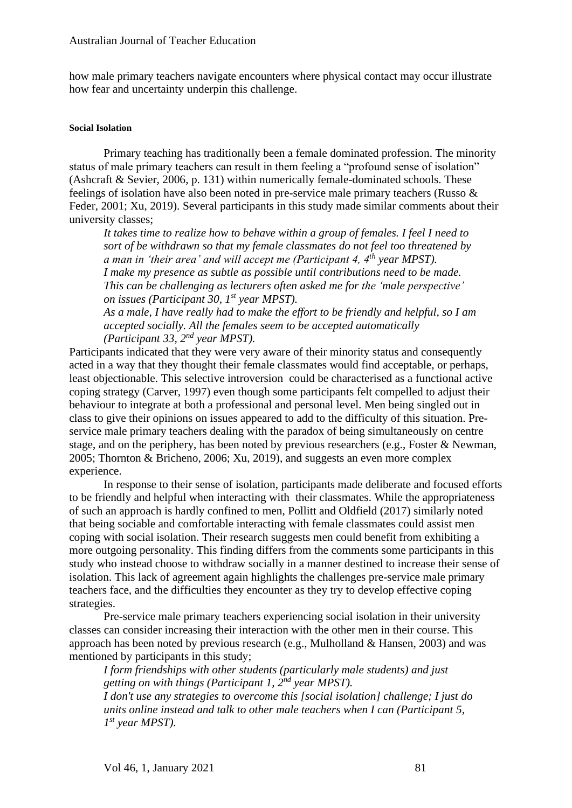how male primary teachers navigate encounters where physical contact may occur illustrate how fear and uncertainty underpin this challenge.

#### **Social Isolation**

Primary teaching has traditionally been a female dominated profession. The minority status of male primary teachers can result in them feeling a "profound sense of isolation" (Ashcraft & Sevier, 2006, p. 131) within numerically female-dominated schools. These feelings of isolation have also been noted in pre-service male primary teachers (Russo & Feder, 2001; Xu, 2019). Several participants in this study made similar comments about their university classes;

*It takes time to realize how to behave within a group of females. I feel I need to sort of be withdrawn so that my female classmates do not feel too threatened by a man in 'their area' and will accept me (Participant 4, 4th year MPST). I make my presence as subtle as possible until contributions need to be made. This can be challenging as lecturers often asked me for the 'male perspective' on issues (Participant 30, 1st year MPST).*

*As a male, I have really had to make the effort to be friendly and helpful, so I am accepted socially. All the females seem to be accepted automatically (Participant 33, 2nd year MPST).* 

Participants indicated that they were very aware of their minority status and consequently acted in a way that they thought their female classmates would find acceptable, or perhaps, least objectionable. This selective introversion could be characterised as a functional active coping strategy (Carver, 1997) even though some participants felt compelled to adjust their behaviour to integrate at both a professional and personal level. Men being singled out in class to give their opinions on issues appeared to add to the difficulty of this situation. Preservice male primary teachers dealing with the paradox of being simultaneously on centre stage, and on the periphery, has been noted by previous researchers (e.g., Foster & Newman, 2005; Thornton & Bricheno, 2006; Xu, 2019), and suggests an even more complex experience.

In response to their sense of isolation, participants made deliberate and focused efforts to be friendly and helpful when interacting with their classmates. While the appropriateness of such an approach is hardly confined to men, Pollitt and Oldfield (2017) similarly noted that being sociable and comfortable interacting with female classmates could assist men coping with social isolation. Their research suggests men could benefit from exhibiting a more outgoing personality. This finding differs from the comments some participants in this study who instead choose to withdraw socially in a manner destined to increase their sense of isolation. This lack of agreement again highlights the challenges pre-service male primary teachers face, and the difficulties they encounter as they try to develop effective coping strategies.

Pre-service male primary teachers experiencing social isolation in their university classes can consider increasing their interaction with the other men in their course. This approach has been noted by previous research (e.g., Mulholland & Hansen, 2003) and was mentioned by participants in this study;

*I form friendships with other students (particularly male students) and just getting on with things (Participant 1, 2nd year MPST).*

*I don't use any strategies to overcome this [social isolation] challenge; I just do units online instead and talk to other male teachers when I can (Participant 5, 1 st year MPST).*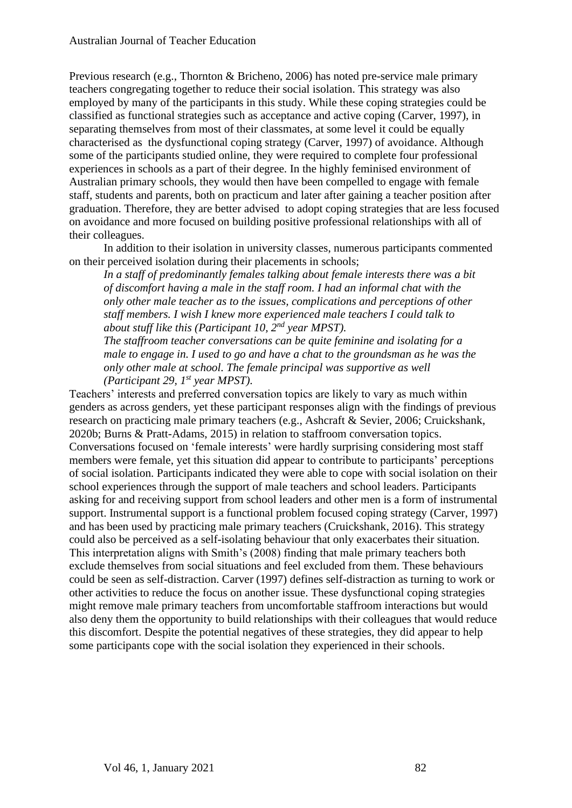Previous research (e.g., Thornton & Bricheno, 2006) has noted pre-service male primary teachers congregating together to reduce their social isolation. This strategy was also employed by many of the participants in this study. While these coping strategies could be classified as functional strategies such as acceptance and active coping (Carver, 1997), in separating themselves from most of their classmates, at some level it could be equally characterised as the dysfunctional coping strategy (Carver, 1997) of avoidance. Although some of the participants studied online, they were required to complete four professional experiences in schools as a part of their degree. In the highly feminised environment of Australian primary schools, they would then have been compelled to engage with female staff, students and parents, both on practicum and later after gaining a teacher position after graduation. Therefore, they are better advised to adopt coping strategies that are less focused on avoidance and more focused on building positive professional relationships with all of their colleagues.

In addition to their isolation in university classes, numerous participants commented on their perceived isolation during their placements in schools;

*In a staff of predominantly females talking about female interests there was a bit of discomfort having a male in the staff room. I had an informal chat with the only other male teacher as to the issues, complications and perceptions of other staff members. I wish I knew more experienced male teachers I could talk to about stuff like this (Participant 10, 2nd year MPST).*

*The staffroom teacher conversations can be quite feminine and isolating for a male to engage in. I used to go and have a chat to the groundsman as he was the only other male at school. The female principal was supportive as well (Participant 29, 1st year MPST).*

Teachers' interests and preferred conversation topics are likely to vary as much within genders as across genders, yet these participant responses align with the findings of previous research on practicing male primary teachers (e.g., Ashcraft & Sevier, 2006; Cruickshank, 2020b; Burns & Pratt-Adams, 2015) in relation to staffroom conversation topics. Conversations focused on 'female interests' were hardly surprising considering most staff members were female, yet this situation did appear to contribute to participants' perceptions of social isolation. Participants indicated they were able to cope with social isolation on their school experiences through the support of male teachers and school leaders. Participants asking for and receiving support from school leaders and other men is a form of instrumental support. Instrumental support is a functional problem focused coping strategy (Carver, 1997) and has been used by practicing male primary teachers (Cruickshank, 2016). This strategy could also be perceived as a self-isolating behaviour that only exacerbates their situation. This interpretation aligns with Smith's (2008) finding that male primary teachers both exclude themselves from social situations and feel excluded from them. These behaviours could be seen as self-distraction. Carver (1997) defines self-distraction as turning to work or other activities to reduce the focus on another issue. These dysfunctional coping strategies might remove male primary teachers from uncomfortable staffroom interactions but would also deny them the opportunity to build relationships with their colleagues that would reduce this discomfort. Despite the potential negatives of these strategies, they did appear to help some participants cope with the social isolation they experienced in their schools.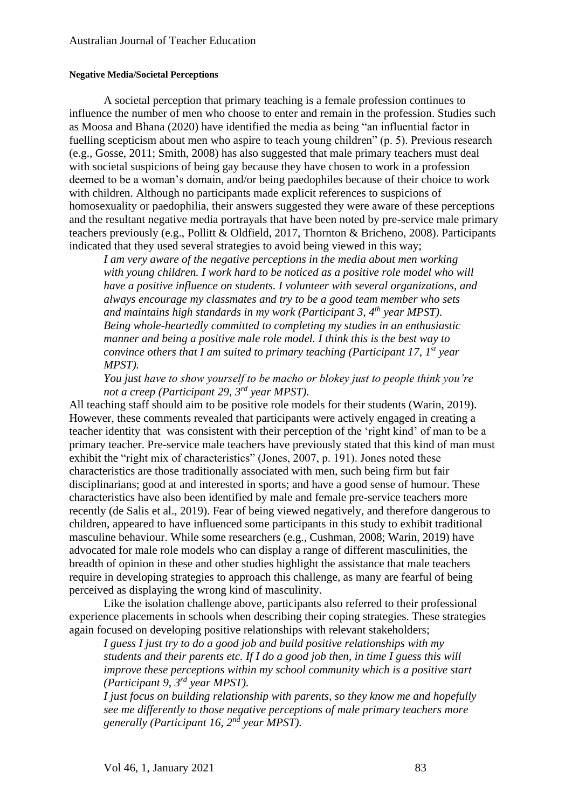#### **Negative Media/Societal Perceptions**

A societal perception that primary teaching is a female profession continues to influence the number of men who choose to enter and remain in the profession. Studies such as Moosa and Bhana (2020) have identified the media as being "an influential factor in fuelling scepticism about men who aspire to teach young children" (p. 5). Previous research (e.g., Gosse, 2011; Smith, 2008) has also suggested that male primary teachers must deal with societal suspicions of being gay because they have chosen to work in a profession deemed to be a woman's domain, and/or being paedophiles because of their choice to work with children. Although no participants made explicit references to suspicions of homosexuality or paedophilia, their answers suggested they were aware of these perceptions and the resultant negative media portrayals that have been noted by pre-service male primary teachers previously (e.g., Pollitt & Oldfield, 2017, Thornton & Bricheno, 2008). Participants indicated that they used several strategies to avoid being viewed in this way;

*I am very aware of the negative perceptions in the media about men working with young children. I work hard to be noticed as a positive role model who will have a positive influence on students. I volunteer with several organizations, and always encourage my classmates and try to be a good team member who sets and maintains high standards in my work (Participant 3, 4th year MPST). Being whole-heartedly committed to completing my studies in an enthusiastic manner and being a positive male role model. I think this is the best way to convince others that I am suited to primary teaching (Participant 17, 1st year MPST).*

*You just have to show yourself to be macho or blokey just to people think you're not a creep (Participant 29, 3rd year MPST).*

All teaching staff should aim to be positive role models for their students (Warin, 2019). However, these comments revealed that participants were actively engaged in creating a teacher identity that was consistent with their perception of the 'right kind' of man to be a primary teacher. Pre-service male teachers have previously stated that this kind of man must exhibit the "right mix of characteristics" (Jones, 2007, p. 191). Jones noted these characteristics are those traditionally associated with men, such being firm but fair disciplinarians; good at and interested in sports; and have a good sense of humour. These characteristics have also been identified by male and female pre-service teachers more recently (de Salis et al., 2019). Fear of being viewed negatively, and therefore dangerous to children, appeared to have influenced some participants in this study to exhibit traditional masculine behaviour. While some researchers (e.g., Cushman, 2008; Warin, 2019) have advocated for male role models who can display a range of different masculinities, the breadth of opinion in these and other studies highlight the assistance that male teachers require in developing strategies to approach this challenge, as many are fearful of being perceived as displaying the wrong kind of masculinity.

Like the isolation challenge above, participants also referred to their professional experience placements in schools when describing their coping strategies. These strategies again focused on developing positive relationships with relevant stakeholders;

*I guess I just try to do a good job and build positive relationships with my students and their parents etc. If I do a good job then, in time I guess this will improve these perceptions within my school community which is a positive start (Participant 9, 3rd year MPST).*

*I just focus on building relationship with parents, so they know me and hopefully see me differently to those negative perceptions of male primary teachers more generally (Participant 16, 2nd year MPST).*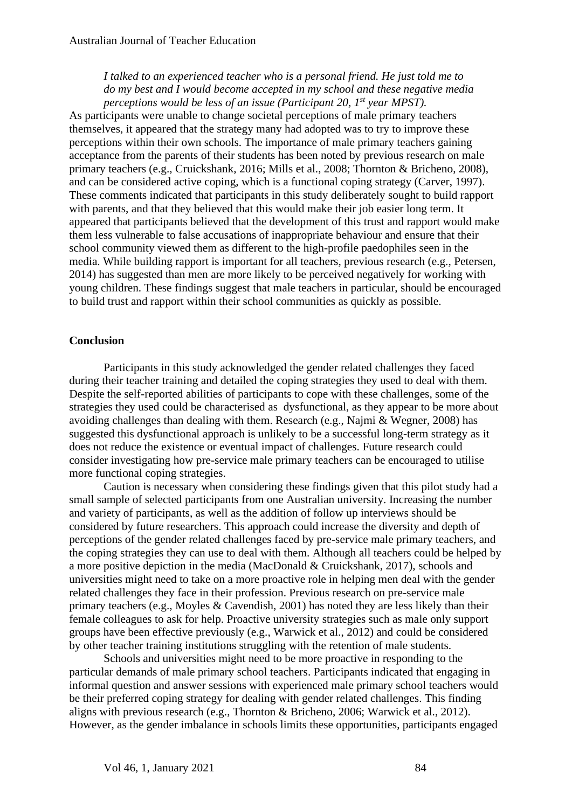*I talked to an experienced teacher who is a personal friend. He just told me to do my best and I would become accepted in my school and these negative media perceptions would be less of an issue (Participant 20, 1st year MPST).*

As participants were unable to change societal perceptions of male primary teachers themselves, it appeared that the strategy many had adopted was to try to improve these perceptions within their own schools. The importance of male primary teachers gaining acceptance from the parents of their students has been noted by previous research on male primary teachers (e.g., Cruickshank, 2016; Mills et al., 2008; Thornton & Bricheno, 2008), and can be considered active coping, which is a functional coping strategy (Carver, 1997). These comments indicated that participants in this study deliberately sought to build rapport with parents, and that they believed that this would make their job easier long term. It appeared that participants believed that the development of this trust and rapport would make them less vulnerable to false accusations of inappropriate behaviour and ensure that their school community viewed them as different to the high-profile paedophiles seen in the media. While building rapport is important for all teachers, previous research (e.g., Petersen, 2014) has suggested than men are more likely to be perceived negatively for working with young children. These findings suggest that male teachers in particular, should be encouraged to build trust and rapport within their school communities as quickly as possible.

#### **Conclusion**

Participants in this study acknowledged the gender related challenges they faced during their teacher training and detailed the coping strategies they used to deal with them. Despite the self-reported abilities of participants to cope with these challenges, some of the strategies they used could be characterised as dysfunctional, as they appear to be more about avoiding challenges than dealing with them. Research (e.g., Najmi & Wegner, 2008) has suggested this dysfunctional approach is unlikely to be a successful long-term strategy as it does not reduce the existence or eventual impact of challenges. Future research could consider investigating how pre-service male primary teachers can be encouraged to utilise more functional coping strategies.

Caution is necessary when considering these findings given that this pilot study had a small sample of selected participants from one Australian university. Increasing the number and variety of participants, as well as the addition of follow up interviews should be considered by future researchers. This approach could increase the diversity and depth of perceptions of the gender related challenges faced by pre-service male primary teachers, and the coping strategies they can use to deal with them. Although all teachers could be helped by a more positive depiction in the media (MacDonald & Cruickshank, 2017), schools and universities might need to take on a more proactive role in helping men deal with the gender related challenges they face in their profession. Previous research on pre-service male primary teachers (e.g., Moyles & Cavendish, 2001) has noted they are less likely than their female colleagues to ask for help. Proactive university strategies such as male only support groups have been effective previously (e.g., Warwick et al., 2012) and could be considered by other teacher training institutions struggling with the retention of male students.

Schools and universities might need to be more proactive in responding to the particular demands of male primary school teachers. Participants indicated that engaging in informal question and answer sessions with experienced male primary school teachers would be their preferred coping strategy for dealing with gender related challenges. This finding aligns with previous research (e.g., Thornton & Bricheno, 2006; Warwick et al., 2012). However, as the gender imbalance in schools limits these opportunities, participants engaged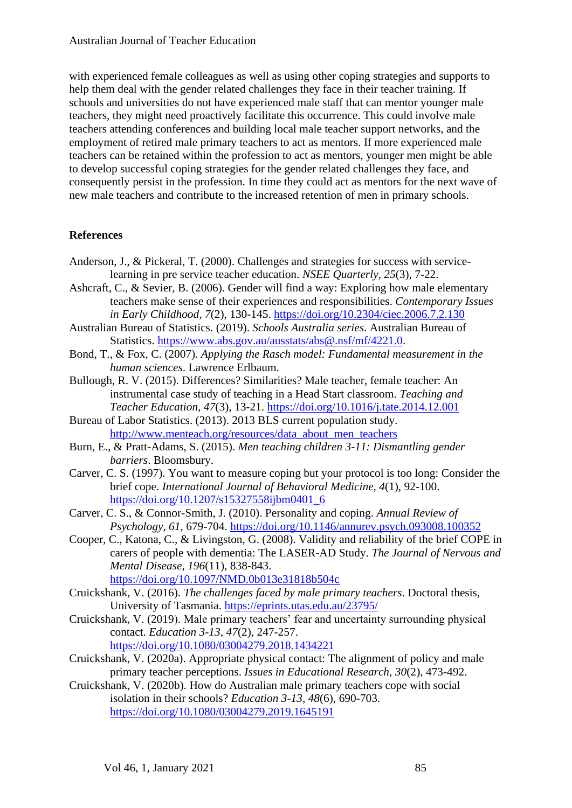with experienced female colleagues as well as using other coping strategies and supports to help them deal with the gender related challenges they face in their teacher training. If schools and universities do not have experienced male staff that can mentor younger male teachers, they might need proactively facilitate this occurrence. This could involve male teachers attending conferences and building local male teacher support networks, and the employment of retired male primary teachers to act as mentors. If more experienced male teachers can be retained within the profession to act as mentors, younger men might be able to develop successful coping strategies for the gender related challenges they face, and consequently persist in the profession. In time they could act as mentors for the next wave of new male teachers and contribute to the increased retention of men in primary schools.

## **References**

- Anderson, J., & Pickeral, T. (2000). Challenges and strategies for success with servicelearning in pre service teacher education. *NSEE Quarterly, 25*(3), 7-22.
- Ashcraft, C., & Sevier, B. (2006). Gender will find a way: Exploring how male elementary teachers make sense of their experiences and responsibilities. *Contemporary Issues in Early Childhood, 7*(2), 130-145. <https://doi.org/10.2304/ciec.2006.7.2.130>
- Australian Bureau of Statistics. (2019). *Schools Australia series*. Australian Bureau of Statistics. [https://www.abs.gov.au/ausstats/abs@.nsf/mf/4221.0.](https://www.abs.gov.au/ausstats/abs@.nsf/mf/4221.0)
- Bond, T., & Fox, C. (2007). *Applying the Rasch model: Fundamental measurement in the human sciences*. Lawrence Erlbaum.
- Bullough, R. V. (2015). Differences? Similarities? Male teacher, female teacher: An instrumental case study of teaching in a Head Start classroom. *Teaching and Teacher Education, 47*(3), 13-21. <https://doi.org/10.1016/j.tate.2014.12.001>
- Bureau of Labor Statistics. (2013). 2013 BLS current population study. [http://www.menteach.org/resources/data\\_about\\_men\\_teachers](http://www.menteach.org/resources/data_about_men_teachers)
- Burn, E., & Pratt-Adams, S. (2015). *Men teaching children 3-11: Dismantling gender barriers*. Bloomsbury.
- Carver, C. S. (1997). You want to measure coping but your protocol is too long: Consider the brief cope. *International Journal of Behavioral Medicine, 4*(1), 92-100. [https://doi.org/10.1207/s15327558ijbm0401\\_6](https://doi.org/10.1207/s15327558ijbm0401_6)
- Carver, C. S., & Connor-Smith, J. (2010). Personality and coping. *Annual Review of Psychology, 61*, 679-704. <https://doi.org/10.1146/annurev.psych.093008.100352>
- Cooper, C., Katona, C., & Livingston, G. (2008). Validity and reliability of the brief COPE in carers of people with dementia: The LASER-AD Study. *The Journal of Nervous and Mental Disease, 196*(11), 838-843. <https://doi.org/10.1097/NMD.0b013e31818b504c>
- Cruickshank, V. (2016). *The challenges faced by male primary teachers*. Doctoral thesis, University of Tasmania.<https://eprints.utas.edu.au/23795/>
- Cruickshank, V. (2019). Male primary teachers' fear and uncertainty surrounding physical contact. *Education 3-13, 47*(2), 247-257. <https://doi.org/10.1080/03004279.2018.1434221>
- Cruickshank, V. (2020a). Appropriate physical contact: The alignment of policy and male primary teacher perceptions. *Issues in Educational Research, 30*(2), 473-492.
- Cruickshank, V. (2020b). How do Australian male primary teachers cope with social isolation in their schools? *Education 3-13, 48*(6), 690-703. <https://doi.org/10.1080/03004279.2019.1645191>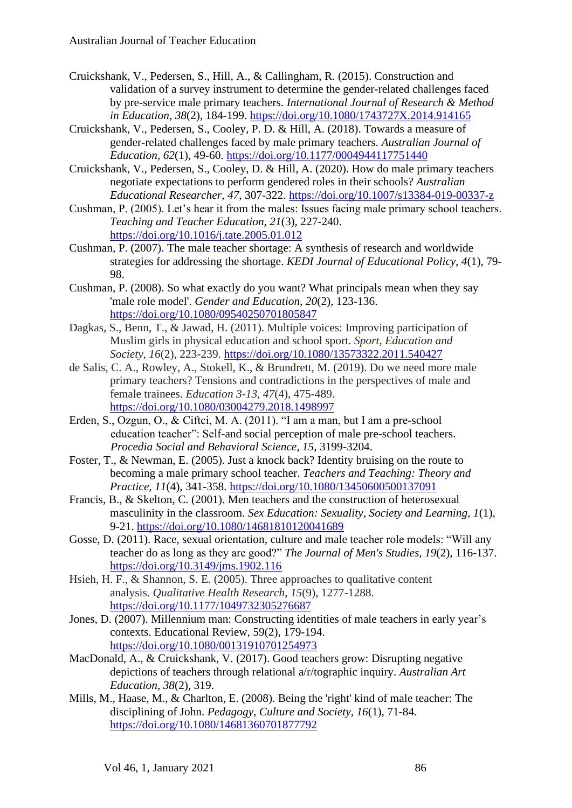- Cruickshank, V., Pedersen, S., Hill, A., & Callingham, R. (2015). Construction and validation of a survey instrument to determine the gender-related challenges faced by pre-service male primary teachers. *International Journal of Research & Method in Education, 38*(2), 184-199. <https://doi.org/10.1080/1743727X.2014.914165>
- Cruickshank, V., Pedersen, S., Cooley, P. D. & Hill, A. (2018). Towards a measure of gender-related challenges faced by male primary teachers. *Australian Journal of Education, 62*(1), 49-60. <https://doi.org/10.1177/0004944117751440>

Cruickshank, V., Pedersen, S., Cooley, D. & Hill, A. (2020). How do male primary teachers negotiate expectations to perform gendered roles in their schools? *Australian Educational Researcher, 47*, 307-322. <https://doi.org/10.1007/s13384-019-00337-z>

- Cushman, P. (2005). Let's hear it from the males: Issues facing male primary school teachers. *Teaching and Teacher Education, 21*(3), 227-240. <https://doi.org/10.1016/j.tate.2005.01.012>
- Cushman, P. (2007). The male teacher shortage: A synthesis of research and worldwide strategies for addressing the shortage. *KEDI Journal of Educational Policy, 4*(1), 79- 98.
- Cushman, P. (2008). So what exactly do you want? What principals mean when they say 'male role model'. *Gender and Education, 20*(2), 123-136. <https://doi.org/10.1080/09540250701805847>
- Dagkas, S., Benn, T., & Jawad, H. (2011). Multiple voices: Improving participation of Muslim girls in physical education and school sport. *Sport, Education and Society*, *16*(2), 223-239. <https://doi.org/10.1080/13573322.2011.540427>
- de Salis, C. A., Rowley, A., Stokell, K., & Brundrett, M. (2019). Do we need more male primary teachers? Tensions and contradictions in the perspectives of male and female trainees. *Education 3-13*, *47*(4), 475-489. <https://doi.org/10.1080/03004279.2018.1498997>
- Erden, S., Ozgun, O., & Ciftci, M. A. (2011). "I am a man, but I am a pre-school education teacher": Self-and social perception of male pre-school teachers. *Procedia Social and Behavioral Science, 15*, 3199-3204.
- Foster, T., & Newman, E. (2005). Just a knock back? Identity bruising on the route to becoming a male primary school teacher. *Teachers and Teaching: Theory and Practice, 11*(4), 341-358. <https://doi.org/10.1080/13450600500137091>
- Francis, B., & Skelton, C. (2001). Men teachers and the construction of heterosexual masculinity in the classroom. *Sex Education: Sexuality, Society and Learning, 1*(1), 9-21. <https://doi.org/10.1080/14681810120041689>
- Gosse, D. (2011). Race, sexual orientation, culture and male teacher role models: "Will any teacher do as long as they are good?" *The Journal of Men's Studies, 19*(2), 116-137. <https://doi.org/10.3149/jms.1902.116>
- Hsieh, H. F., & Shannon, S. E. (2005). Three approaches to qualitative content analysis. *Qualitative Health Research*, *15*(9), 1277-1288. <https://doi.org/10.1177/1049732305276687>
- Jones, D. (2007). Millennium man: Constructing identities of male teachers in early year's contexts. Educational Review, 59(2), 179-194. <https://doi.org/10.1080/00131910701254973>
- MacDonald, A., & Cruickshank, V. (2017). Good teachers grow: Disrupting negative depictions of teachers through relational a/r/tographic inquiry. *Australian Art Education, 38*(2), 319.
- Mills, M., Haase, M., & Charlton, E. (2008). Being the 'right' kind of male teacher: The disciplining of John. *Pedagogy, Culture and Society, 16*(1), 71-84. <https://doi.org/10.1080/14681360701877792>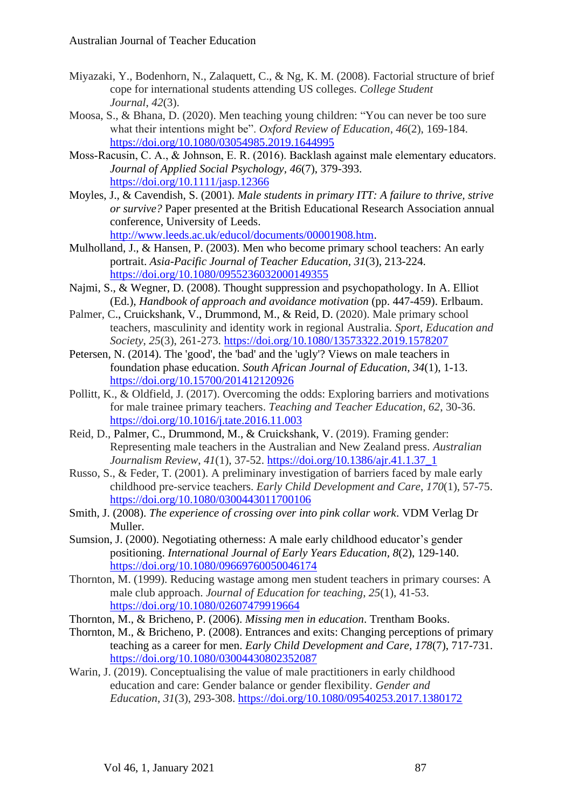- Miyazaki, Y., Bodenhorn, N., Zalaquett, C., & Ng, K. M. (2008). Factorial structure of brief cope for international students attending US colleges. *College Student Journal*, *42*(3).
- Moosa, S., & Bhana, D. (2020). Men teaching young children: "You can never be too sure what their intentions might be". *Oxford Review of Education*, *46*(2), 169-184. <https://doi.org/10.1080/03054985.2019.1644995>
- Moss‐Racusin, C. A., & Johnson, E. R. (2016). Backlash against male elementary educators. *Journal of Applied Social Psychology, 46*(7), 379-393. <https://doi.org/10.1111/jasp.12366>
- Moyles, J., & Cavendish, S. (2001). *Male students in primary ITT: A failure to thrive, strive or survive?* Paper presented at the British Educational Research Association annual conference, University of Leeds.

[http://www.leeds.ac.uk/educol/documents/00001908.htm.](http://www.leeds.ac.uk/educol/documents/00001908.htm)

- Mulholland, J., & Hansen, P. (2003). Men who become primary school teachers: An early portrait. *Asia-Pacific Journal of Teacher Education, 31*(3), 213-224. <https://doi.org/10.1080/0955236032000149355>
- Najmi, S., & Wegner, D. (2008). Thought suppression and psychopathology. In A. Elliot (Ed.), *Handbook of approach and avoidance motivation* (pp. 447-459). Erlbaum.
- Palmer, C., Cruickshank, V., Drummond, M., & Reid, D. (2020). Male primary school teachers, masculinity and identity work in regional Australia. *Sport, Education and Society*, *25*(3), 261-273. <https://doi.org/10.1080/13573322.2019.1578207>
- Petersen, N. (2014). The 'good', the 'bad' and the 'ugly'? Views on male teachers in foundation phase education. *South African Journal of Education, 34*(1), 1-13. <https://doi.org/10.15700/201412120926>
- Pollitt, K., & Oldfield, J. (2017). Overcoming the odds: Exploring barriers and motivations for male trainee primary teachers. *Teaching and Teacher Education*, *62*, 30-36. <https://doi.org/10.1016/j.tate.2016.11.003>
- Reid, D., Palmer, C., Drummond, M., & Cruickshank, V. (2019). Framing gender: Representing male teachers in the Australian and New Zealand press. *Australian Journalism Review*, *41*(1), 37-52. [https://doi.org/10.1386/ajr.41.1.37\\_1](https://doi.org/10.1386/ajr.41.1.37_1)
- Russo, S., & Feder, T. (2001). A preliminary investigation of barriers faced by male early childhood pre‐service teachers. *Early Child Development and Care*, *170*(1), 57-75. <https://doi.org/10.1080/0300443011700106>
- Smith, J. (2008). *The experience of crossing over into pink collar work*. VDM Verlag Dr Muller.
- Sumsion, J. (2000). Negotiating otherness: A male early childhood educator's gender positioning. *International Journal of Early Years Education, 8*(2), 129-140. <https://doi.org/10.1080/09669760050046174>
- Thornton, M. (1999). Reducing wastage among men student teachers in primary courses: A male club approach. *Journal of Education for teaching*, *25*(1), 41-53. <https://doi.org/10.1080/02607479919664>
- Thornton, M., & Bricheno, P. (2006). *Missing men in education*. Trentham Books.
- Thornton, M., & Bricheno, P. (2008). Entrances and exits: Changing perceptions of primary teaching as a career for men. *Early Child Development and Care, 178*(7), 717-731. <https://doi.org/10.1080/03004430802352087>
- Warin, J. (2019). Conceptualising the value of male practitioners in early childhood education and care: Gender balance or gender flexibility. *Gender and Education*, *31*(3), 293-308. <https://doi.org/10.1080/09540253.2017.1380172>